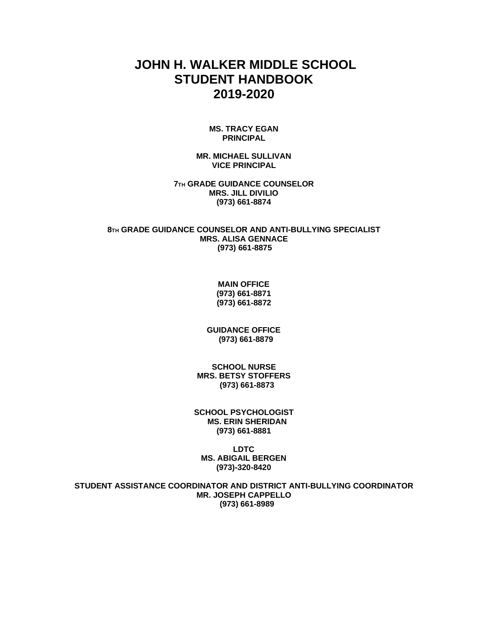# **JOHN H. WALKER MIDDLE SCHOOL STUDENT HANDBOOK 2019-2020**

### **MS. TRACY EGAN PRINCIPAL**

**MR. MICHAEL SULLIVAN VICE PRINCIPAL**

**7TH GRADE GUIDANCE COUNSELOR MRS. JILL DIVILIO (973) 661-8874**

**8TH GRADE GUIDANCE COUNSELOR AND ANTI-BULLYING SPECIALIST MRS. ALISA GENNACE (973) 661-8875**

> **MAIN OFFICE (973) 661-8871 (973) 661-8872**

**GUIDANCE OFFICE (973) 661-8879**

**SCHOOL NURSE MRS. BETSY STOFFERS (973) 661-8873**

**SCHOOL PSYCHOLOGIST MS. ERIN SHERIDAN (973) 661-8881**

**LDTC MS. ABIGAIL BERGEN (973)-320-8420**

**STUDENT ASSISTANCE COORDINATOR AND DISTRICT ANTI-BULLYING COORDINATOR MR. JOSEPH CAPPELLO (973) 661-8989**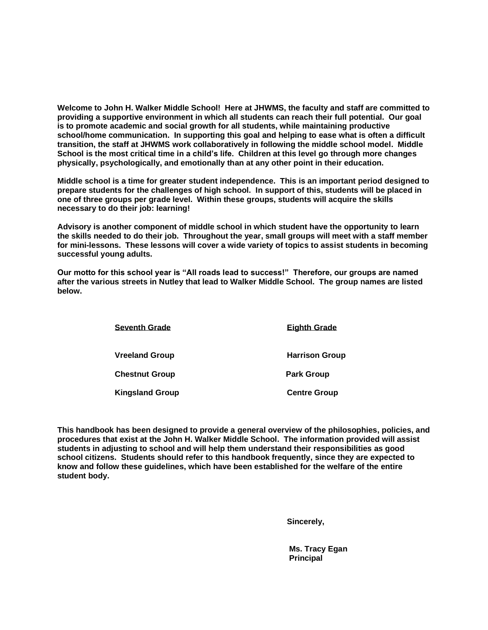**Welcome to John H. Walker Middle School! Here at JHWMS, the faculty and staff are committed to providing a supportive environment in which all students can reach their full potential. Our goal is to promote academic and social growth for all students, while maintaining productive school/home communication. In supporting this goal and helping to ease what is often a difficult transition, the staff at JHWMS work collaboratively in following the middle school model. Middle School is the most critical time in a child's life. Children at this level go through more changes physically, psychologically, and emotionally than at any other point in their education.** 

**Middle school is a time for greater student independence. This is an important period designed to prepare students for the challenges of high school. In support of this, students will be placed in one of three groups per grade level. Within these groups, students will acquire the skills necessary to do their job: learning!**

**Advisory is another component of middle school in which student have the opportunity to learn the skills needed to do their job. Throughout the year, small groups will meet with a staff member for mini-lessons. These lessons will cover a wide variety of topics to assist students in becoming successful young adults.** 

**Our motto for this school year is "All roads lead to success!" Therefore, our groups are named after the various streets in Nutley that lead to Walker Middle School. The group names are listed below.**

| <b>Seventh Grade</b>   | <b>Eighth Grade</b>   |
|------------------------|-----------------------|
| <b>Vreeland Group</b>  | <b>Harrison Group</b> |
| <b>Chestnut Group</b>  | <b>Park Group</b>     |
| <b>Kingsland Group</b> | <b>Centre Group</b>   |

**This handbook has been designed to provide a general overview of the philosophies, policies, and procedures that exist at the John H. Walker Middle School. The information provided will assist students in adjusting to school and will help them understand their responsibilities as good school citizens. Students should refer to this handbook frequently, since they are expected to know and follow these guidelines, which have been established for the welfare of the entire student body.**

**Sincerely,**

**Ms. Tracy Egan Principal**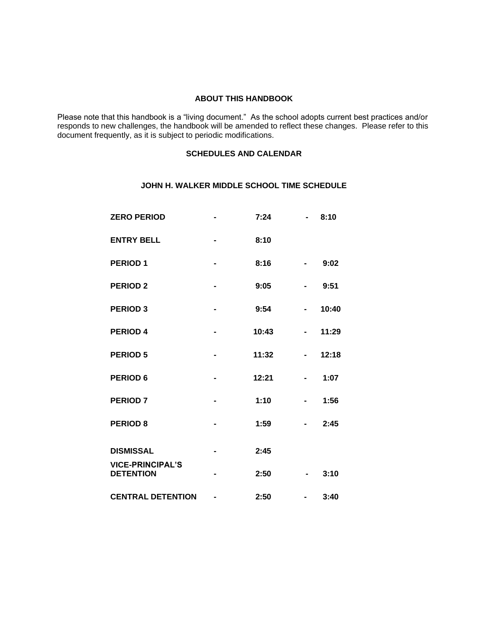### **ABOUT THIS HANDBOOK**

Please note that this handbook is a "living document." As the school adopts current best practices and/or responds to new challenges, the handbook will be amended to reflect these changes. Please refer to this document frequently, as it is subject to periodic modifications.

### **SCHEDULES AND CALENDAR**

### **JOHN H. WALKER MIDDLE SCHOOL TIME SCHEDULE**

| <b>ZERO PERIOD</b>                          |                              | 7:24  |                | 8:10  |
|---------------------------------------------|------------------------------|-------|----------------|-------|
| <b>ENTRY BELL</b>                           |                              | 8:10  |                |       |
| <b>PERIOD1</b>                              | $\blacksquare$               | 8:16  |                | 9:02  |
| <b>PERIOD 2</b>                             |                              | 9:05  |                | 9:51  |
| <b>PERIOD 3</b>                             |                              | 9:54  |                | 10:40 |
| <b>PERIOD 4</b>                             | $\blacksquare$               | 10:43 |                | 11:29 |
| <b>PERIOD 5</b>                             | $\blacksquare$               | 11:32 | $\blacksquare$ | 12:18 |
| <b>PERIOD 6</b>                             | $\blacksquare$               | 12:21 | $\blacksquare$ | 1:07  |
| <b>PERIOD 7</b>                             | $\blacksquare$               | 1:10  | $\blacksquare$ | 1:56  |
| <b>PERIOD 8</b>                             | $\blacksquare$               | 1:59  |                | 2:45  |
| <b>DISMISSAL</b>                            | $\blacksquare$               | 2:45  |                |       |
| <b>VICE-PRINCIPAL'S</b><br><b>DETENTION</b> |                              | 2:50  |                | 3:10  |
| <b>CENTRAL DETENTION</b>                    | $\qquad \qquad \blacksquare$ | 2:50  | $\sim$         | 3:40  |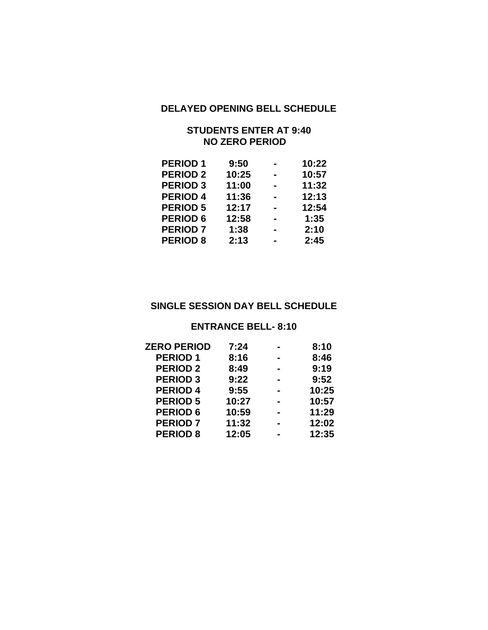## **DELAYED OPENING BELL SCHEDULE**

## **STUDENTS ENTER AT 9:40 NO ZERO PERIOD**

| <b>PERIOD1</b>  | 9:50  | 10:22 |
|-----------------|-------|-------|
| <b>PERIOD 2</b> | 10:25 | 10:57 |
| <b>PERIOD 3</b> | 11:00 | 11:32 |
| <b>PERIOD 4</b> | 11:36 | 12:13 |
| <b>PERIOD 5</b> | 12:17 | 12:54 |
| <b>PERIOD 6</b> | 12:58 | 1:35  |
| <b>PERIOD 7</b> | 1:38  | 2:10  |
| <b>PERIOD 8</b> | 2:13  | 2:45  |
|                 |       |       |

## **SINGLE SESSION DAY BELL SCHEDULE**

### **ENTRANCE BELL- 8:10**

| <b>ZERO PERIOD</b> | 7:24  | 8:10  |
|--------------------|-------|-------|
| <b>PERIOD1</b>     | 8:16  | 8:46  |
| <b>PERIOD 2</b>    | 8:49  | 9:19  |
| <b>PERIOD 3</b>    | 9:22  | 9:52  |
| <b>PERIOD 4</b>    | 9:55  | 10:25 |
| <b>PERIOD 5</b>    | 10:27 | 10:57 |
| <b>PERIOD 6</b>    | 10:59 | 11:29 |
| <b>PERIOD 7</b>    | 11:32 | 12:02 |
| <b>PERIOD 8</b>    | 12:05 | 12:35 |
|                    |       |       |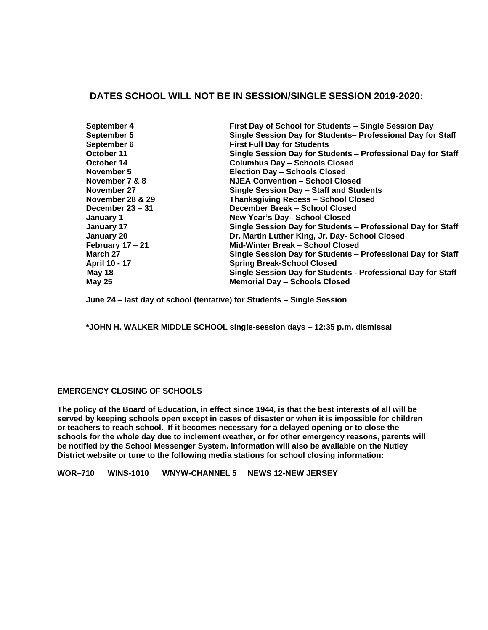### **DATES SCHOOL WILL NOT BE IN SESSION/SINGLE SESSION 2019-2020:**

| September 4        | First Day of School for Students - Single Session Day        |
|--------------------|--------------------------------------------------------------|
| September 5        | Single Session Day for Students- Professional Day for Staff  |
| September 6        | <b>First Full Day for Students</b>                           |
| October 11         | Single Session Day for Students - Professional Day for Staff |
| October 14         | <b>Columbus Day - Schools Closed</b>                         |
| November 5         | <b>Election Day - Schools Closed</b>                         |
| November 7 & 8     | <b>NJEA Convention - School Closed</b>                       |
| November 27        | Single Session Day - Staff and Students                      |
| November 28 & 29   | <b>Thanksgiving Recess - School Closed</b>                   |
| December $23 - 31$ | December Break - School Closed                               |
| January 1          | New Year's Day-School Closed                                 |
| January 17         | Single Session Day for Students - Professional Day for Staff |
| January 20         | Dr. Martin Luther King, Jr. Day- School Closed               |
| February 17 - 21   | Mid-Winter Break - School Closed                             |
| March 27           | Single Session Day for Students - Professional Day for Staff |
| April 10 - 17      | <b>Spring Break-School Closed</b>                            |
| May 18             | Single Session Day for Students - Professional Day for Staff |
| <b>May 25</b>      | <b>Memorial Day - Schools Closed</b>                         |

**June 24 – last day of school (tentative) for Students – Single Session**

**\*JOHN H. WALKER MIDDLE SCHOOL single-session days – 12:35 p.m. dismissal**

### **EMERGENCY CLOSING OF SCHOOLS**

**The policy of the Board of Education, in effect since 1944, is that the best interests of all will be served by keeping schools open except in cases of disaster or when it is impossible for children or teachers to reach school. If it becomes necessary for a delayed opening or to close the schools for the whole day due to inclement weather, or for other emergency reasons, parents will be notified by the School Messenger System. Information will also be available on the Nutley District website or tune to the following media stations for school closing information:**

**WOR–710 WINS-1010 WNYW-CHANNEL 5 NEWS 12-NEW JERSEY**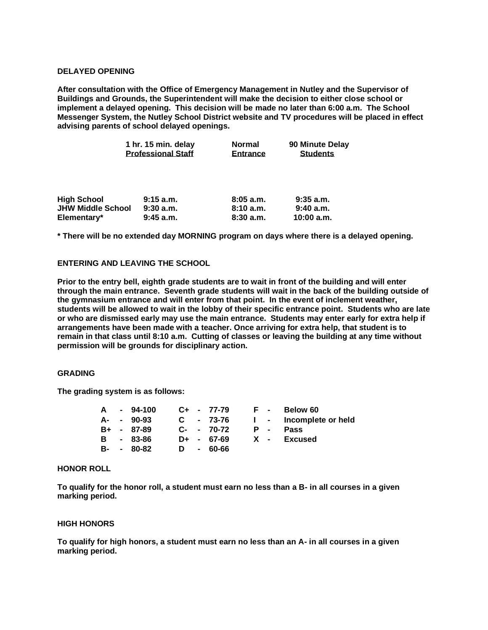### **DELAYED OPENING**

**After consultation with the Office of Emergency Management in Nutley and the Supervisor of Buildings and Grounds, the Superintendent will make the decision to either close school or implement a delayed opening. This decision will be made no later than 6:00 a.m. The School Messenger System, the Nutley School District website and TV procedures will be placed in effect advising parents of school delayed openings.**

| 1 hr. 15 min. delay       | <b>Normal</b>   | 90 Minute Delay |
|---------------------------|-----------------|-----------------|
| <b>Professional Staff</b> | <b>Entrance</b> | <b>Students</b> |
|                           |                 |                 |

| <b>High School</b>       | 9:15a.m. | 8:05a.m. | 9:35a.m.   |
|--------------------------|----------|----------|------------|
| <b>JHW Middle School</b> | 9:30a.m. | 8:10a.m. | 9:40a.m.   |
| Elementary*              | 9:45a.m. | 8:30a.m. | 10:00 a.m. |

**\* There will be no extended day MORNING program on days where there is a delayed opening.**

### **ENTERING AND LEAVING THE SCHOOL**

**Prior to the entry bell, eighth grade students are to wait in front of the building and will enter through the main entrance. Seventh grade students will wait in the back of the building outside of the gymnasium entrance and will enter from that point. In the event of inclement weather, students will be allowed to wait in the lobby of their specific entrance point. Students who are late or who are dismissed early may use the main entrance. Students may enter early for extra help if arrangements have been made with a teacher. Once arriving for extra help, that student is to remain in that class until 8:10 a.m. Cutting of classes or leaving the building at any time without permission will be grounds for disciplinary action.** 

### **GRADING**

**The grading system is as follows:**

|  | A - 94-100 C+ - 77-79 |           |              | $\mathbf{F}$ . The set of $\mathbf{F}$ | <b>Below 60</b>        |
|--|-----------------------|-----------|--------------|----------------------------------------|------------------------|
|  | A- - 90-93            | C - 73-76 |              |                                        | I - Incomplete or held |
|  | B+ - 87-89            |           | $C- - 70-72$ |                                        | P - Pass               |
|  | B - 83-86             |           | $D+ - 67-69$ |                                        | X - Excused            |
|  | $B- - 80-82$          |           | D - 60-66    |                                        |                        |

#### **HONOR ROLL**

**To qualify for the honor roll, a student must earn no less than a B- in all courses in a given marking period.**

#### **HIGH HONORS**

**To qualify for high honors, a student must earn no less than an A- in all courses in a given marking period.**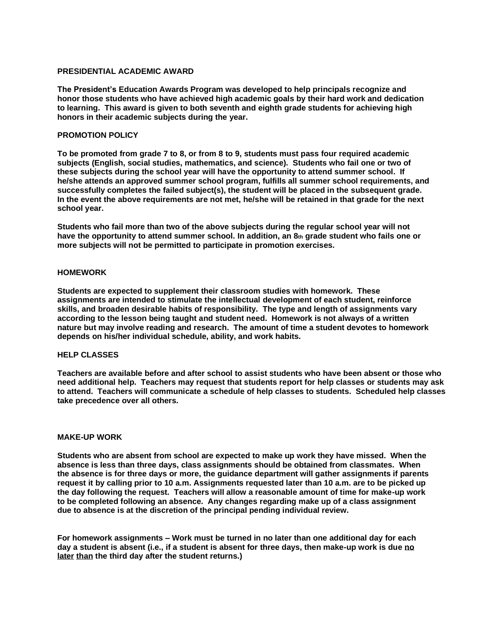### **PRESIDENTIAL ACADEMIC AWARD**

**The President's Education Awards Program was developed to help principals recognize and honor those students who have achieved high academic goals by their hard work and dedication to learning. This award is given to both seventh and eighth grade students for achieving high honors in their academic subjects during the year.**

### **PROMOTION POLICY**

**To be promoted from grade 7 to 8, or from 8 to 9, students must pass four required academic subjects (English, social studies, mathematics, and science). Students who fail one or two of these subjects during the school year will have the opportunity to attend summer school. If he/she attends an approved summer school program, fulfills all summer school requirements, and successfully completes the failed subject(s), the student will be placed in the subsequent grade. In the event the above requirements are not met, he/she will be retained in that grade for the next school year.**

**Students who fail more than two of the above subjects during the regular school year will not have the opportunity to attend summer school. In addition, an 8th grade student who fails one or more subjects will not be permitted to participate in promotion exercises.**

### **HOMEWORK**

**Students are expected to supplement their classroom studies with homework. These assignments are intended to stimulate the intellectual development of each student, reinforce skills, and broaden desirable habits of responsibility. The type and length of assignments vary according to the lesson being taught and student need. Homework is not always of a written nature but may involve reading and research. The amount of time a student devotes to homework depends on his/her individual schedule, ability, and work habits.**

#### **HELP CLASSES**

**Teachers are available before and after school to assist students who have been absent or those who need additional help. Teachers may request that students report for help classes or students may ask to attend. Teachers will communicate a schedule of help classes to students. Scheduled help classes take precedence over all others.**

### **MAKE-UP WORK**

**Students who are absent from school are expected to make up work they have missed. When the absence is less than three days, class assignments should be obtained from classmates. When the absence is for three days or more, the guidance department will gather assignments if parents request it by calling prior to 10 a.m. Assignments requested later than 10 a.m. are to be picked up the day following the request. Teachers will allow a reasonable amount of time for make-up work to be completed following an absence. Any changes regarding make up of a class assignment due to absence is at the discretion of the principal pending individual review.**

**For homework assignments – Work must be turned in no later than one additional day for each day a student is absent (i.e., if a student is absent for three days, then make-up work is due no later than the third day after the student returns.)**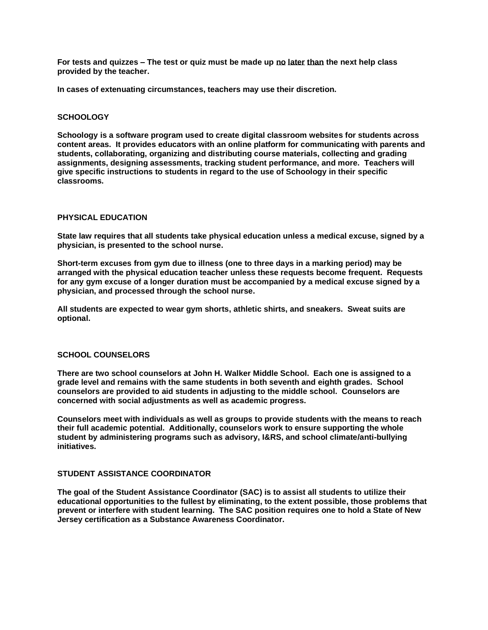**For tests and quizzes – The test or quiz must be made up no later than the next help class provided by the teacher.**

**In cases of extenuating circumstances, teachers may use their discretion.**

### **SCHOOLOGY**

**Schoology is a software program used to create digital classroom websites for students across content areas. It provides educators with an online platform for communicating with parents and students, collaborating, organizing and distributing course materials, collecting and grading assignments, designing assessments, tracking student performance, and more. Teachers will give specific instructions to students in regard to the use of Schoology in their specific classrooms.** 

### **PHYSICAL EDUCATION**

**State law requires that all students take physical education unless a medical excuse, signed by a physician, is presented to the school nurse.** 

**Short-term excuses from gym due to illness (one to three days in a marking period) may be arranged with the physical education teacher unless these requests become frequent. Requests for any gym excuse of a longer duration must be accompanied by a medical excuse signed by a physician, and processed through the school nurse.**

**All students are expected to wear gym shorts, athletic shirts, and sneakers. Sweat suits are optional.**

#### **SCHOOL COUNSELORS**

**There are two school counselors at John H. Walker Middle School. Each one is assigned to a grade level and remains with the same students in both seventh and eighth grades. School counselors are provided to aid students in adjusting to the middle school. Counselors are concerned with social adjustments as well as academic progress.**

**Counselors meet with individuals as well as groups to provide students with the means to reach their full academic potential. Additionally, counselors work to ensure supporting the whole student by administering programs such as advisory, I&RS, and school climate/anti-bullying initiatives.** 

### **STUDENT ASSISTANCE COORDINATOR**

**The goal of the Student Assistance Coordinator (SAC) is to assist all students to utilize their educational opportunities to the fullest by eliminating, to the extent possible, those problems that prevent or interfere with student learning. The SAC position requires one to hold a State of New Jersey certification as a Substance Awareness Coordinator.**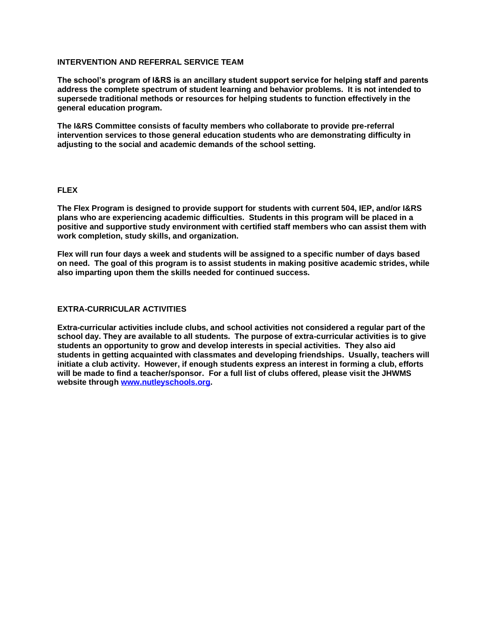### **INTERVENTION AND REFERRAL SERVICE TEAM**

**The school's program of I&RS is an ancillary student support service for helping staff and parents address the complete spectrum of student learning and behavior problems. It is not intended to supersede traditional methods or resources for helping students to function effectively in the general education program.**

**The I&RS Committee consists of faculty members who collaborate to provide pre-referral intervention services to those general education students who are demonstrating difficulty in adjusting to the social and academic demands of the school setting.**

### **FLEX**

**The Flex Program is designed to provide support for students with current 504, IEP, and/or I&RS plans who are experiencing academic difficulties. Students in this program will be placed in a positive and supportive study environment with certified staff members who can assist them with work completion, study skills, and organization.** 

**Flex will run four days a week and students will be assigned to a specific number of days based on need. The goal of this program is to assist students in making positive academic strides, while also imparting upon them the skills needed for continued success.** 

### **EXTRA-CURRICULAR ACTIVITIES**

**Extra-curricular activities include clubs, and school activities not considered a regular part of the school day. They are available to all students. The purpose of extra-curricular activities is to give students an opportunity to grow and develop interests in special activities. They also aid students in getting acquainted with classmates and developing friendships. Usually, teachers will initiate a club activity. However, if enough students express an interest in forming a club, efforts will be made to find a teacher/sponsor. For a full list of clubs offered, please visit the JHWMS website through [www.nutleyschools.org.](http://www.nutleyschools.org/)**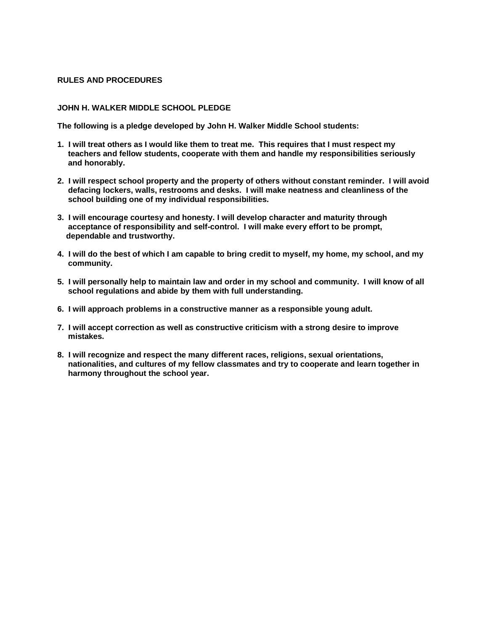### **RULES AND PROCEDURES**

### **JOHN H. WALKER MIDDLE SCHOOL PLEDGE**

**The following is a pledge developed by John H. Walker Middle School students:**

- **1. I will treat others as I would like them to treat me. This requires that I must respect my teachers and fellow students, cooperate with them and handle my responsibilities seriously and honorably.**
- **2. I will respect school property and the property of others without constant reminder. I will avoid defacing lockers, walls, restrooms and desks. I will make neatness and cleanliness of the school building one of my individual responsibilities.**
- **3. I will encourage courtesy and honesty. I will develop character and maturity through acceptance of responsibility and self-control. I will make every effort to be prompt, dependable and trustworthy.**
- **4. I will do the best of which I am capable to bring credit to myself, my home, my school, and my community.**
- **5. I will personally help to maintain law and order in my school and community. I will know of all school regulations and abide by them with full understanding.**
- **6. I will approach problems in a constructive manner as a responsible young adult.**
- **7. I will accept correction as well as constructive criticism with a strong desire to improve mistakes.**
- **8. I will recognize and respect the many different races, religions, sexual orientations, nationalities, and cultures of my fellow classmates and try to cooperate and learn together in harmony throughout the school year.**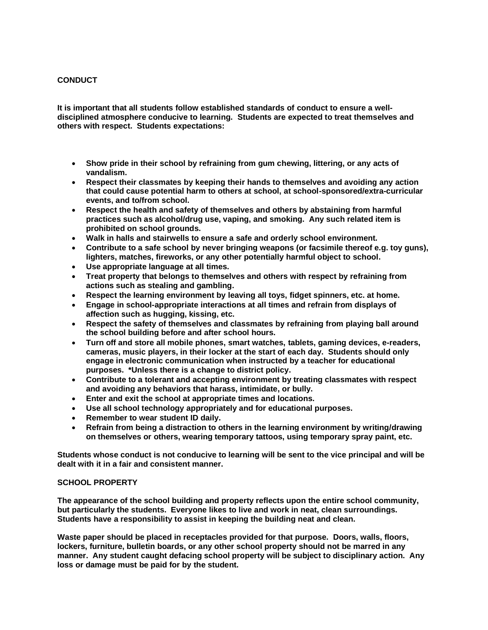### **CONDUCT**

**It is important that all students follow established standards of conduct to ensure a welldisciplined atmosphere conducive to learning. Students are expected to treat themselves and others with respect. Students expectations:**

- **Show pride in their school by refraining from gum chewing, littering, or any acts of vandalism.**
- **Respect their classmates by keeping their hands to themselves and avoiding any action that could cause potential harm to others at school, at school-sponsored/extra-curricular events, and to/from school.**
- **Respect the health and safety of themselves and others by abstaining from harmful practices such as alcohol/drug use, vaping, and smoking. Any such related item is prohibited on school grounds.**
- **Walk in halls and stairwells to ensure a safe and orderly school environment.**
- **Contribute to a safe school by never bringing weapons (or facsimile thereof e.g. toy guns), lighters, matches, fireworks, or any other potentially harmful object to school.**
- **Use appropriate language at all times.**
- **Treat property that belongs to themselves and others with respect by refraining from actions such as stealing and gambling.**
- **Respect the learning environment by leaving all toys, fidget spinners, etc. at home.**
- **Engage in school-appropriate interactions at all times and refrain from displays of affection such as hugging, kissing, etc.**
- **Respect the safety of themselves and classmates by refraining from playing ball around the school building before and after school hours.**
- **Turn off and store all mobile phones, smart watches, tablets, gaming devices, e-readers, cameras, music players, in their locker at the start of each day. Students should only engage in electronic communication when instructed by a teacher for educational purposes. \*Unless there is a change to district policy.**
- **Contribute to a tolerant and accepting environment by treating classmates with respect and avoiding any behaviors that harass, intimidate, or bully.**
- **Enter and exit the school at appropriate times and locations.**
- **Use all school technology appropriately and for educational purposes.**
- **Remember to wear student ID daily.**
- **Refrain from being a distraction to others in the learning environment by writing/drawing on themselves or others, wearing temporary tattoos, using temporary spray paint, etc.**

**Students whose conduct is not conducive to learning will be sent to the vice principal and will be dealt with it in a fair and consistent manner.** 

### **SCHOOL PROPERTY**

**The appearance of the school building and property reflects upon the entire school community, but particularly the students. Everyone likes to live and work in neat, clean surroundings. Students have a responsibility to assist in keeping the building neat and clean.**

**Waste paper should be placed in receptacles provided for that purpose. Doors, walls, floors, lockers, furniture, bulletin boards, or any other school property should not be marred in any manner. Any student caught defacing school property will be subject to disciplinary action. Any loss or damage must be paid for by the student.**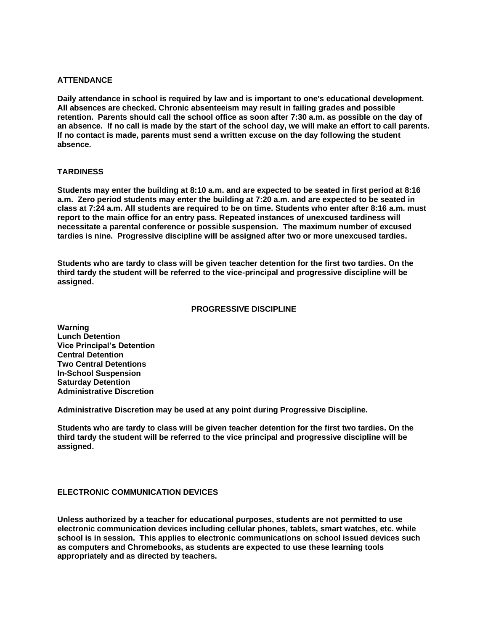### **ATTENDANCE**

**Daily attendance in school is required by law and is important to one's educational development. All absences are checked. Chronic absenteeism may result in failing grades and possible retention. Parents should call the school office as soon after 7:30 a.m. as possible on the day of an absence. If no call is made by the start of the school day, we will make an effort to call parents. If no contact is made, parents must send a written excuse on the day following the student absence.**

### **TARDINESS**

**Students may enter the building at 8:10 a.m. and are expected to be seated in first period at 8:16 a.m. Zero period students may enter the building at 7:20 a.m. and are expected to be seated in class at 7:24 a.m. All students are required to be on time. Students who enter after 8:16 a.m. must report to the main office for an entry pass. Repeated instances of unexcused tardiness will necessitate a parental conference or possible suspension. The maximum number of excused tardies is nine. Progressive discipline will be assigned after two or more unexcused tardies.**

**Students who are tardy to class will be given teacher detention for the first two tardies. On the third tardy the student will be referred to the vice-principal and progressive discipline will be assigned.** 

### **PROGRESSIVE DISCIPLINE**

**Warning Lunch Detention Vice Principal's Detention Central Detention Two Central Detentions In-School Suspension Saturday Detention Administrative Discretion**

**Administrative Discretion may be used at any point during Progressive Discipline.**

**Students who are tardy to class will be given teacher detention for the first two tardies. On the third tardy the student will be referred to the vice principal and progressive discipline will be assigned.** 

### **ELECTRONIC COMMUNICATION DEVICES**

**Unless authorized by a teacher for educational purposes, students are not permitted to use electronic communication devices including cellular phones, tablets, smart watches, etc. while school is in session. This applies to electronic communications on school issued devices such as computers and Chromebooks, as students are expected to use these learning tools appropriately and as directed by teachers.**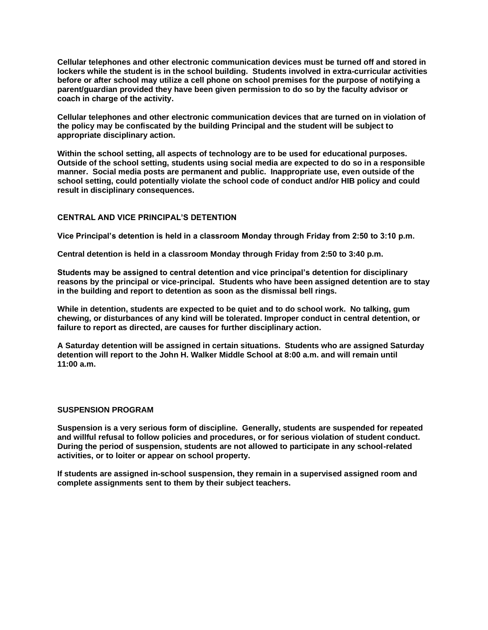**Cellular telephones and other electronic communication devices must be turned off and stored in lockers while the student is in the school building. Students involved in extra-curricular activities before or after school may utilize a cell phone on school premises for the purpose of notifying a parent/guardian provided they have been given permission to do so by the faculty advisor or coach in charge of the activity.**

**Cellular telephones and other electronic communication devices that are turned on in violation of the policy may be confiscated by the building Principal and the student will be subject to appropriate disciplinary action.**

**Within the school setting, all aspects of technology are to be used for educational purposes. Outside of the school setting, students using social media are expected to do so in a responsible manner. Social media posts are permanent and public. Inappropriate use, even outside of the school setting, could potentially violate the school code of conduct and/or HIB policy and could result in disciplinary consequences.** 

### **CENTRAL AND VICE PRINCIPAL'S DETENTION**

**Vice Principal's detention is held in a classroom Monday through Friday from 2:50 to 3:10 p.m.** 

**Central detention is held in a classroom Monday through Friday from 2:50 to 3:40 p.m.** 

**Students may be assigned to central detention and vice principal's detention for disciplinary reasons by the principal or vice-principal. Students who have been assigned detention are to stay in the building and report to detention as soon as the dismissal bell rings.** 

**While in detention, students are expected to be quiet and to do school work. No talking, gum chewing, or disturbances of any kind will be tolerated. Improper conduct in central detention, or failure to report as directed, are causes for further disciplinary action.**

**A Saturday detention will be assigned in certain situations. Students who are assigned Saturday detention will report to the John H. Walker Middle School at 8:00 a.m. and will remain until 11:00 a.m.** 

#### **SUSPENSION PROGRAM**

**Suspension is a very serious form of discipline. Generally, students are suspended for repeated and willful refusal to follow policies and procedures, or for serious violation of student conduct. During the period of suspension, students are not allowed to participate in any school-related activities, or to loiter or appear on school property.** 

**If students are assigned in-school suspension, they remain in a supervised assigned room and complete assignments sent to them by their subject teachers.**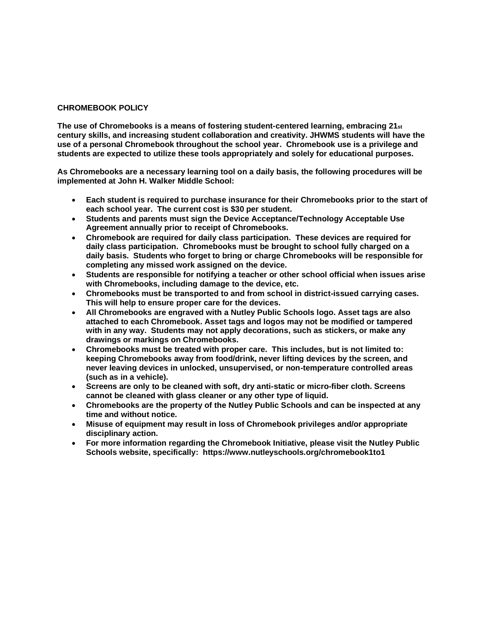### **CHROMEBOOK POLICY**

**The use of Chromebooks is a means of fostering student-centered learning, embracing 21st century skills, and increasing student collaboration and creativity. JHWMS students will have the use of a personal Chromebook throughout the school year. Chromebook use is a privilege and students are expected to utilize these tools appropriately and solely for educational purposes.** 

**As Chromebooks are a necessary learning tool on a daily basis, the following procedures will be implemented at John H. Walker Middle School:**

- **Each student is required to purchase insurance for their Chromebooks prior to the start of each school year. The current cost is \$30 per student.**
- **Students and parents must sign the Device Acceptance/Technology Acceptable Use Agreement annually prior to receipt of Chromebooks.**
- **Chromebook are required for daily class participation. These devices are required for daily class participation. Chromebooks must be brought to school fully charged on a daily basis. Students who forget to bring or charge Chromebooks will be responsible for completing any missed work assigned on the device.**
- **Students are responsible for notifying a teacher or other school official when issues arise with Chromebooks, including damage to the device, etc.**
- **Chromebooks must be transported to and from school in district-issued carrying cases. This will help to ensure proper care for the devices.**
- **All Chromebooks are engraved with a Nutley Public Schools logo. Asset tags are also attached to each Chromebook. Asset tags and logos may not be modified or tampered with in any way. Students may not apply decorations, such as stickers, or make any drawings or markings on Chromebooks.**
- **Chromebooks must be treated with proper care. This includes, but is not limited to: keeping Chromebooks away from food/drink, never lifting devices by the screen, and never leaving devices in unlocked, unsupervised, or non-temperature controlled areas (such as in a vehicle).**
- **Screens are only to be cleaned with soft, dry anti-static or micro-fiber cloth. Screens cannot be cleaned with glass cleaner or any other type of liquid.**
- **Chromebooks are the property of the Nutley Public Schools and can be inspected at any time and without notice.**
- **Misuse of equipment may result in loss of Chromebook privileges and/or appropriate disciplinary action.**
- **For more information regarding the Chromebook Initiative, please visit the Nutley Public Schools website, specifically: https://www.nutleyschools.org/chromebook1to1**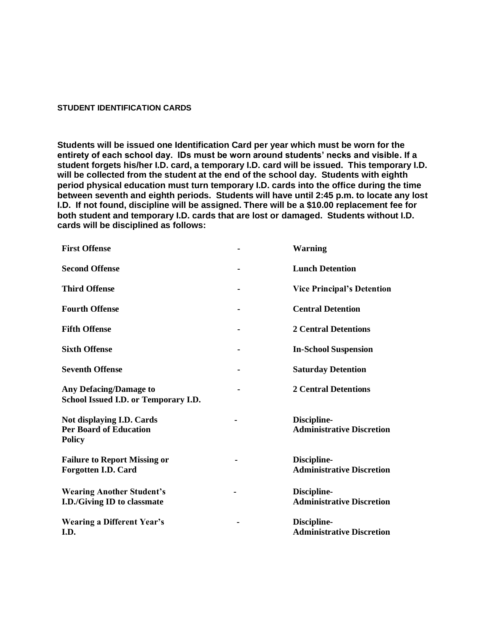### **STUDENT IDENTIFICATION CARDS**

**Students will be issued one Identification Card per year which must be worn for the entirety of each school day. IDs must be worn around students' necks and visible. If a student forgets his/her I.D. card, a temporary I.D. card will be issued. This temporary I.D. will be collected from the student at the end of the school day. Students with eighth period physical education must turn temporary I.D. cards into the office during the time between seventh and eighth periods. Students will have until 2:45 p.m. to locate any lost I.D. If not found, discipline will be assigned. There will be a \$10.00 replacement fee for both student and temporary I.D. cards that are lost or damaged. Students without I.D. cards will be disciplined as follows:** 

| <b>First Offense</b>                                                        | <b>Warning</b>                                  |
|-----------------------------------------------------------------------------|-------------------------------------------------|
| <b>Second Offense</b>                                                       | <b>Lunch Detention</b>                          |
| <b>Third Offense</b>                                                        | <b>Vice Principal's Detention</b>               |
| <b>Fourth Offense</b>                                                       | <b>Central Detention</b>                        |
| <b>Fifth Offense</b>                                                        | <b>2 Central Detentions</b>                     |
| <b>Sixth Offense</b>                                                        | <b>In-School Suspension</b>                     |
| <b>Seventh Offense</b>                                                      | <b>Saturday Detention</b>                       |
| <b>Any Defacing/Damage to</b><br>School Issued I.D. or Temporary I.D.       | <b>2 Central Detentions</b>                     |
| Not displaying I.D. Cards<br><b>Per Board of Education</b><br><b>Policy</b> | Discipline-<br><b>Administrative Discretion</b> |
| <b>Failure to Report Missing or</b><br><b>Forgotten I.D. Card</b>           | Discipline-<br><b>Administrative Discretion</b> |
| <b>Wearing Another Student's</b><br><b>I.D./Giving ID to classmate</b>      | Discipline-<br><b>Administrative Discretion</b> |
| <b>Wearing a Different Year's</b><br>I.D.                                   | Discipline-<br><b>Administrative Discretion</b> |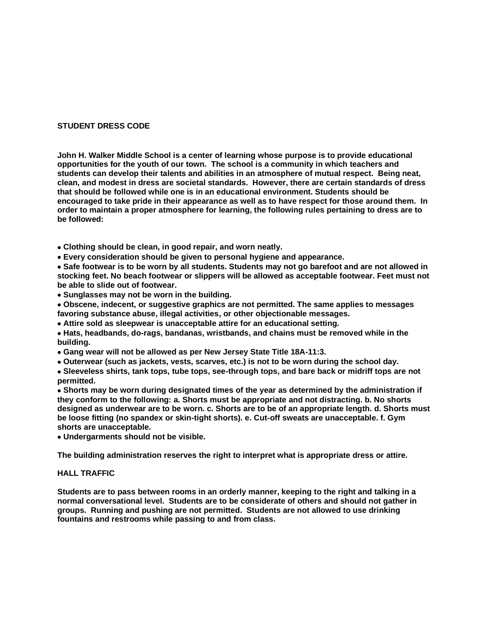### **STUDENT DRESS CODE**

**John H. Walker Middle School is a center of learning whose purpose is to provide educational opportunities for the youth of our town. The school is a community in which teachers and students can develop their talents and abilities in an atmosphere of mutual respect. Being neat, clean, and modest in dress are societal standards. However, there are certain standards of dress that should be followed while one is in an educational environment. Students should be encouraged to take pride in their appearance as well as to have respect for those around them. In order to maintain a proper atmosphere for learning, the following rules pertaining to dress are to be followed:**

• **Clothing should be clean, in good repair, and worn neatly.** 

• **Every consideration should be given to personal hygiene and appearance.** 

• **Safe footwear is to be worn by all students. Students may not go barefoot and are not allowed in stocking feet. No beach footwear or slippers will be allowed as acceptable footwear. Feet must not be able to slide out of footwear.** 

- **Sunglasses may not be worn in the building.**
- **Obscene, indecent, or suggestive graphics are not permitted. The same applies to messages favoring substance abuse, illegal activities, or other objectionable messages.**
- **Attire sold as sleepwear is unacceptable attire for an educational setting.**

• **Hats, headbands, do-rags, bandanas, wristbands, and chains must be removed while in the building.**

- **Gang wear will not be allowed as per New Jersey State Title 18A-11:3.**
- **Outerwear (such as jackets, vests, scarves, etc.) is not to be worn during the school day.**
- **Sleeveless shirts, tank tops, tube tops, see-through tops, and bare back or midriff tops are not permitted.**

• **Shorts may be worn during designated times of the year as determined by the administration if they conform to the following: a. Shorts must be appropriate and not distracting. b. No shorts designed as underwear are to be worn. c. Shorts are to be of an appropriate length. d. Shorts must be loose fitting (no spandex or skin-tight shorts). e. Cut-off sweats are unacceptable. f. Gym shorts are unacceptable.** 

• **Undergarments should not be visible.** 

**The building administration reserves the right to interpret what is appropriate dress or attire.**

### **HALL TRAFFIC**

**Students are to pass between rooms in an orderly manner, keeping to the right and talking in a normal conversational level. Students are to be considerate of others and should not gather in groups. Running and pushing are not permitted. Students are not allowed to use drinking fountains and restrooms while passing to and from class.**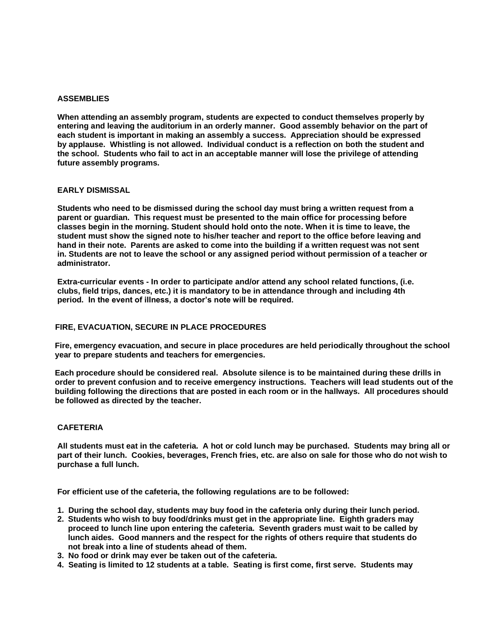### **ASSEMBLIES**

**When attending an assembly program, students are expected to conduct themselves properly by entering and leaving the auditorium in an orderly manner. Good assembly behavior on the part of each student is important in making an assembly a success. Appreciation should be expressed by applause. Whistling is not allowed. Individual conduct is a reflection on both the student and the school. Students who fail to act in an acceptable manner will lose the privilege of attending future assembly programs.**

### **EARLY DISMISSAL**

**Students who need to be dismissed during the school day must bring a written request from a parent or guardian. This request must be presented to the main office for processing before classes begin in the morning. Student should hold onto the note. When it is time to leave, the student must show the signed note to his/her teacher and report to the office before leaving and hand in their note. Parents are asked to come into the building if a written request was not sent in. Students are not to leave the school or any assigned period without permission of a teacher or administrator.** 

**Extra-curricular events - In order to participate and/or attend any school related functions, (i.e. clubs, field trips, dances, etc.) it is mandatory to be in attendance through and including 4th period. In the event of illness, a doctor's note will be required.**

### **FIRE, EVACUATION, SECURE IN PLACE PROCEDURES**

**Fire, emergency evacuation, and secure in place procedures are held periodically throughout the school year to prepare students and teachers for emergencies.**

**Each procedure should be considered real. Absolute silence is to be maintained during these drills in order to prevent confusion and to receive emergency instructions. Teachers will lead students out of the building following the directions that are posted in each room or in the hallways. All procedures should be followed as directed by the teacher.**

#### **CAFETERIA**

**All students must eat in the cafeteria. A hot or cold lunch may be purchased. Students may bring all or part of their lunch. Cookies, beverages, French fries, etc. are also on sale for those who do not wish to purchase a full lunch.**

**For efficient use of the cafeteria, the following regulations are to be followed:**

- **1. During the school day, students may buy food in the cafeteria only during their lunch period.**
- **2. Students who wish to buy food/drinks must get in the appropriate line. Eighth graders may proceed to lunch line upon entering the cafeteria. Seventh graders must wait to be called by lunch aides. Good manners and the respect for the rights of others require that students do not break into a line of students ahead of them.**
- **3. No food or drink may ever be taken out of the cafeteria.**
- **4. Seating is limited to 12 students at a table. Seating is first come, first serve. Students may**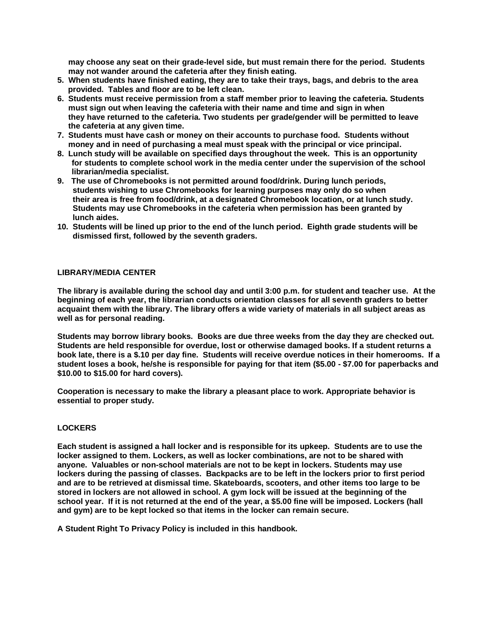**may choose any seat on their grade-level side, but must remain there for the period. Students may not wander around the cafeteria after they finish eating.** 

- **5. When students have finished eating, they are to take their trays, bags, and debris to the area provided. Tables and floor are to be left clean.**
- **6. Students must receive permission from a staff member prior to leaving the cafeteria. Students must sign out when leaving the cafeteria with their name and time and sign in when they have returned to the cafeteria. Two students per grade/gender will be permitted to leave the cafeteria at any given time.**
- **7. Students must have cash or money on their accounts to purchase food. Students without** money and in need of purchasing a meal must speak with the principal or vice principal.
- **8. Lunch study will be available on specified days throughout the week. This is an opportunity for students to complete school work in the media center under the supervision of the school librarian/media specialist.**
- **9. The use of Chromebooks is not permitted around food/drink. During lunch periods, students wishing to use Chromebooks for learning purposes may only do so when their area is free from food/drink, at a designated Chromebook location, or at lunch study. Students may use Chromebooks in the cafeteria when permission has been granted by lunch aides.**
- **10. Students will be lined up prior to the end of the lunch period. Eighth grade students will be dismissed first, followed by the seventh graders.**

### **LIBRARY/MEDIA CENTER**

**The library is available during the school day and until 3:00 p.m. for student and teacher use. At the beginning of each year, the librarian conducts orientation classes for all seventh graders to better acquaint them with the library. The library offers a wide variety of materials in all subject areas as well as for personal reading.** 

**Students may borrow library books. Books are due three weeks from the day they are checked out. Students are held responsible for overdue, lost or otherwise damaged books. If a student returns a book late, there is a \$.10 per day fine. Students will receive overdue notices in their homerooms. If a student loses a book, he/she is responsible for paying for that item (\$5.00 - \$7.00 for paperbacks and \$10.00 to \$15.00 for hard covers).** 

**Cooperation is necessary to make the library a pleasant place to work. Appropriate behavior is essential to proper study.**

### **LOCKERS**

**Each student is assigned a hall locker and is responsible for its upkeep. Students are to use the locker assigned to them. Lockers, as well as locker combinations, are not to be shared with anyone. Valuables or non-school materials are not to be kept in lockers. Students may use lockers during the passing of classes. Backpacks are to be left in the lockers prior to first period and are to be retrieved at dismissal time. Skateboards, scooters, and other items too large to be stored in lockers are not allowed in school. A gym lock will be issued at the beginning of the school year. If it is not returned at the end of the year, a \$5.00 fine will be imposed. Lockers (hall and gym) are to be kept locked so that items in the locker can remain secure.** 

**A Student Right To Privacy Policy is included in this handbook.**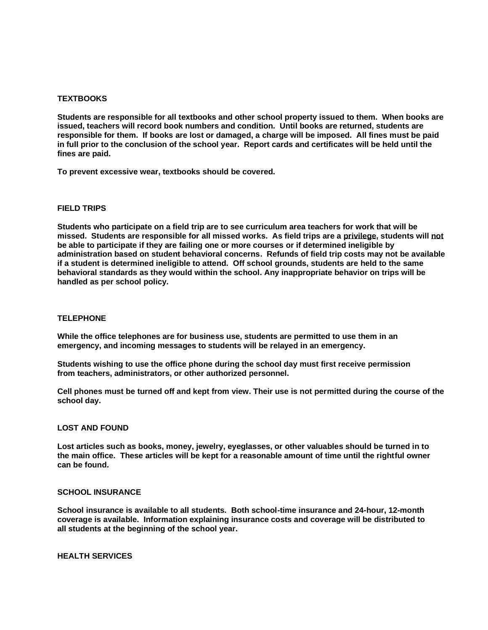### **TEXTBOOKS**

**Students are responsible for all textbooks and other school property issued to them. When books are issued, teachers will record book numbers and condition. Until books are returned, students are responsible for them. If books are lost or damaged, a charge will be imposed. All fines must be paid in full prior to the conclusion of the school year. Report cards and certificates will be held until the fines are paid.**

**To prevent excessive wear, textbooks should be covered.**

#### **FIELD TRIPS**

**Students who participate on a field trip are to see curriculum area teachers for work that will be missed. Students are responsible for all missed works. As field trips are a privilege, students will not be able to participate if they are failing one or more courses or if determined ineligible by administration based on student behavioral concerns. Refunds of field trip costs may not be available if a student is determined ineligible to attend. Off school grounds, students are held to the same behavioral standards as they would within the school. Any inappropriate behavior on trips will be handled as per school policy.** 

#### **TELEPHONE**

**While the office telephones are for business use, students are permitted to use them in an emergency, and incoming messages to students will be relayed in an emergency.** 

**Students wishing to use the office phone during the school day must first receive permission from teachers, administrators, or other authorized personnel.** 

**Cell phones must be turned off and kept from view. Their use is not permitted during the course of the school day.** 

#### **LOST AND FOUND**

**Lost articles such as books, money, jewelry, eyeglasses, or other valuables should be turned in to the main office. These articles will be kept for a reasonable amount of time until the rightful owner can be found.**

### **SCHOOL INSURANCE**

**School insurance is available to all students. Both school-time insurance and 24-hour, 12-month coverage is available. Information explaining insurance costs and coverage will be distributed to all students at the beginning of the school year.**

**HEALTH SERVICES**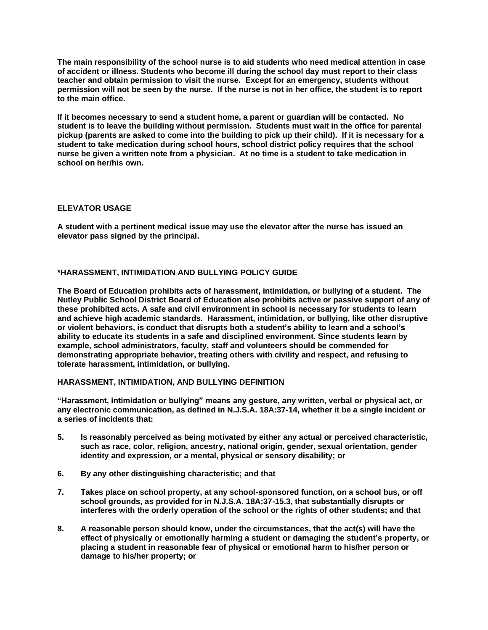**The main responsibility of the school nurse is to aid students who need medical attention in case of accident or illness. Students who become ill during the school day must report to their class teacher and obtain permission to visit the nurse. Except for an emergency, students without permission will not be seen by the nurse. If the nurse is not in her office, the student is to report to the main office.**

**If it becomes necessary to send a student home, a parent or guardian will be contacted. No student is to leave the building without permission. Students must wait in the office for parental pickup (parents are asked to come into the building to pick up their child). If it is necessary for a student to take medication during school hours, school district policy requires that the school nurse be given a written note from a physician. At no time is a student to take medication in school on her/his own.**

### **ELEVATOR USAGE**

**A student with a pertinent medical issue may use the elevator after the nurse has issued an elevator pass signed by the principal.**

### **\*HARASSMENT, INTIMIDATION AND BULLYING POLICY GUIDE**

**The Board of Education prohibits acts of harassment, intimidation, or bullying of a student. The Nutley Public School District Board of Education also prohibits active or passive support of any of these prohibited acts. A safe and civil environment in school is necessary for students to learn and achieve high academic standards. Harassment, intimidation, or bullying, like other disruptive or violent behaviors, is conduct that disrupts both a student's ability to learn and a school's ability to educate its students in a safe and disciplined environment. Since students learn by example, school administrators, faculty, staff and volunteers should be commended for demonstrating appropriate behavior, treating others with civility and respect, and refusing to tolerate harassment, intimidation, or bullying.**

### **HARASSMENT, INTIMIDATION, AND BULLYING DEFINITION**

**"Harassment, intimidation or bullying" means any gesture, any written, verbal or physical act, or any electronic communication, as defined in N.J.S.A. 18A:37-14, whether it be a single incident or a series of incidents that:**

- **5. Is reasonably perceived as being motivated by either any actual or perceived characteristic, such as race, color, religion, ancestry, national origin, gender, sexual orientation, gender identity and expression, or a mental, physical or sensory disability; or**
- **6. By any other distinguishing characteristic; and that**
- **7. Takes place on school property, at any school-sponsored function, on a school bus, or off school grounds, as provided for in N.J.S.A. 18A:37-15.3, that substantially disrupts or interferes with the orderly operation of the school or the rights of other students; and that**
- **8. A reasonable person should know, under the circumstances, that the act(s) will have the effect of physically or emotionally harming a student or damaging the student's property, or placing a student in reasonable fear of physical or emotional harm to his/her person or damage to his/her property; or**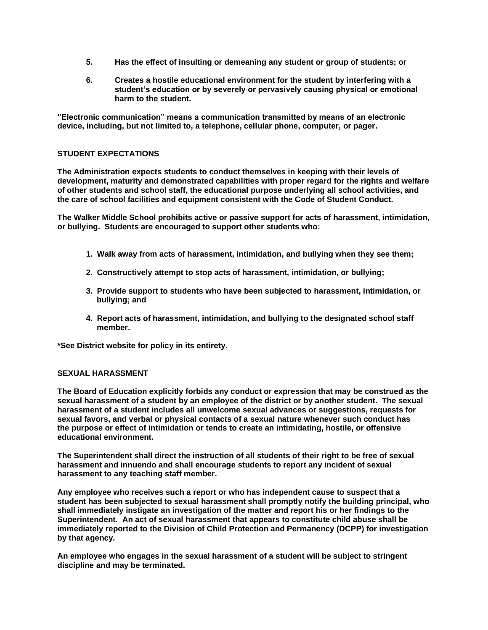- **5. Has the effect of insulting or demeaning any student or group of students; or**
- **6. Creates a hostile educational environment for the student by interfering with a student's education or by severely or pervasively causing physical or emotional harm to the student.**

**"Electronic communication" means a communication transmitted by means of an electronic device, including, but not limited to, a telephone, cellular phone, computer, or pager.**

### **STUDENT EXPECTATIONS**

**The Administration expects students to conduct themselves in keeping with their levels of development, maturity and demonstrated capabilities with proper regard for the rights and welfare of other students and school staff, the educational purpose underlying all school activities, and the care of school facilities and equipment consistent with the Code of Student Conduct.**

**The Walker Middle School prohibits active or passive support for acts of harassment, intimidation, or bullying. Students are encouraged to support other students who:**

- **1. Walk away from acts of harassment, intimidation, and bullying when they see them;**
- **2. Constructively attempt to stop acts of harassment, intimidation, or bullying;**
- **3. Provide support to students who have been subjected to harassment, intimidation, or bullying; and**
- **4. Report acts of harassment, intimidation, and bullying to the designated school staff member.**

**\*See District website for policy in its entirety.**

### **SEXUAL HARASSMENT**

**The Board of Education explicitly forbids any conduct or expression that may be construed as the sexual harassment of a student by an employee of the district or by another student. The sexual harassment of a student includes all unwelcome sexual advances or suggestions, requests for sexual favors, and verbal or physical contacts of a sexual nature whenever such conduct has the purpose or effect of intimidation or tends to create an intimidating, hostile, or offensive educational environment.**

**The Superintendent shall direct the instruction of all students of their right to be free of sexual harassment and innuendo and shall encourage students to report any incident of sexual harassment to any teaching staff member.**

**Any employee who receives such a report or who has independent cause to suspect that a student has been subjected to sexual harassment shall promptly notify the building principal, who shall immediately instigate an investigation of the matter and report his or her findings to the Superintendent. An act of sexual harassment that appears to constitute child abuse shall be immediately reported to the Division of Child Protection and Permanency (DCPP) for investigation by that agency.**

**An employee who engages in the sexual harassment of a student will be subject to stringent discipline and may be terminated.**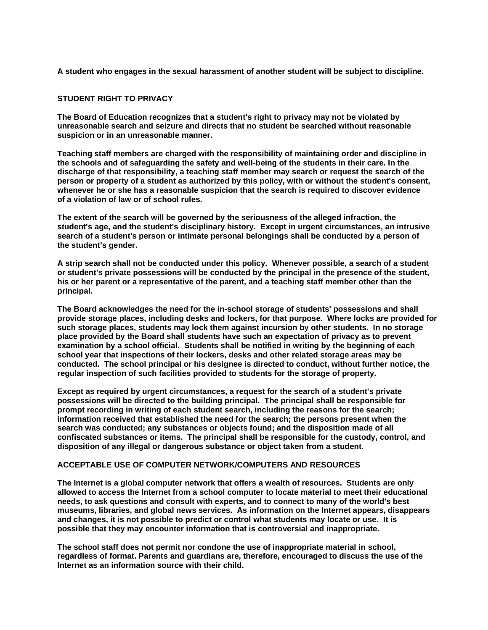**A student who engages in the sexual harassment of another student will be subject to discipline.**

### **STUDENT RIGHT TO PRIVACY**

**The Board of Education recognizes that a student's right to privacy may not be violated by unreasonable search and seizure and directs that no student be searched without reasonable suspicion or in an unreasonable manner.**

**Teaching staff members are charged with the responsibility of maintaining order and discipline in the schools and of safeguarding the safety and well-being of the students in their care. In the discharge of that responsibility, a teaching staff member may search or request the search of the person or property of a student as authorized by this policy, with or without the student's consent, whenever he or she has a reasonable suspicion that the search is required to discover evidence of a violation of law or of school rules.**

**The extent of the search will be governed by the seriousness of the alleged infraction, the student's age, and the student's disciplinary history. Except in urgent circumstances, an intrusive search of a student's person or intimate personal belongings shall be conducted by a person of the student's gender.**

**A strip search shall not be conducted under this policy. Whenever possible, a search of a student or student's private possessions will be conducted by the principal in the presence of the student, his or her parent or a representative of the parent, and a teaching staff member other than the principal.**

**The Board acknowledges the need for the in-school storage of students' possessions and shall provide storage places, including desks and lockers, for that purpose. Where locks are provided for such storage places, students may lock them against incursion by other students. In no storage place provided by the Board shall students have such an expectation of privacy as to prevent examination by a school official. Students shall be notified in writing by the beginning of each school year that inspections of their lockers, desks and other related storage areas may be conducted. The school principal or his designee is directed to conduct, without further notice, the regular inspection of such facilities provided to students for the storage of property.**

**Except as required by urgent circumstances, a request for the search of a student's private possessions will be directed to the building principal. The principal shall be responsible for prompt recording in writing of each student search, including the reasons for the search; information received that established the need for the search; the persons present when the search was conducted; any substances or objects found; and the disposition made of all confiscated substances or items. The principal shall be responsible for the custody, control, and disposition of any illegal or dangerous substance or object taken from a student.** 

### **ACCEPTABLE USE OF COMPUTER NETWORK/COMPUTERS AND RESOURCES**

**The Internet is a global computer network that offers a wealth of resources. Students are only allowed to access the Internet from a school computer to locate material to meet their educational needs, to ask questions and consult with experts, and to connect to many of the world's best museums, libraries, and global news services. As information on the Internet appears, disappears and changes, it is not possible to predict or control what students may locate or use. It is possible that they may encounter information that is controversial and inappropriate.**

**The school staff does not permit nor condone the use of inappropriate material in school, regardless of format. Parents and guardians are, therefore, encouraged to discuss the use of the Internet as an information source with their child.**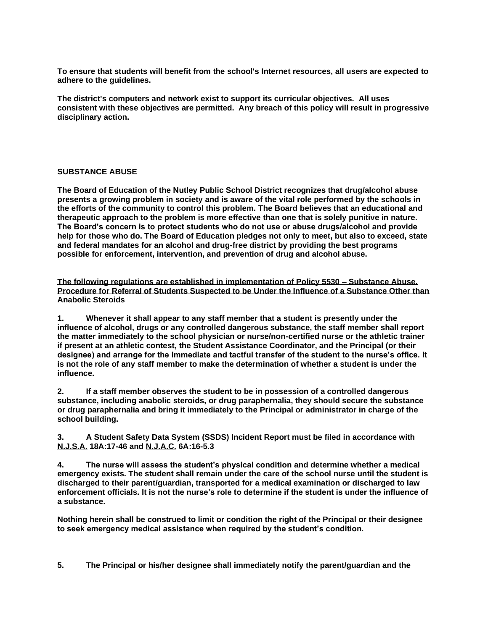**To ensure that students will benefit from the school's Internet resources, all users are expected to adhere to the guidelines.**

**The district's computers and network exist to support its curricular objectives. All uses consistent with these objectives are permitted. Any breach of this policy will result in progressive disciplinary action.**

### **SUBSTANCE ABUSE**

**The Board of Education of the Nutley Public School District recognizes that drug/alcohol abuse presents a growing problem in society and is aware of the vital role performed by the schools in the efforts of the community to control this problem. The Board believes that an educational and therapeutic approach to the problem is more effective than one that is solely punitive in nature. The Board's concern is to protect students who do not use or abuse drugs/alcohol and provide help for those who do. The Board of Education pledges not only to meet, but also to exceed, state and federal mandates for an alcohol and drug-free district by providing the best programs possible for enforcement, intervention, and prevention of drug and alcohol abuse.**

**The following regulations are established in implementation of Policy 5530 – Substance Abuse. Procedure for Referral of Students Suspected to be Under the Influence of a Substance Other than Anabolic Steroids**

**1. Whenever it shall appear to any staff member that a student is presently under the influence of alcohol, drugs or any controlled dangerous substance, the staff member shall report the matter immediately to the school physician or nurse/non-certified nurse or the athletic trainer if present at an athletic contest, the Student Assistance Coordinator, and the Principal (or their designee) and arrange for the immediate and tactful transfer of the student to the nurse's office. It is not the role of any staff member to make the determination of whether a student is under the influence.** 

**2. If a staff member observes the student to be in possession of a controlled dangerous substance, including anabolic steroids, or drug paraphernalia, they should secure the substance or drug paraphernalia and bring it immediately to the Principal or administrator in charge of the school building.** 

**3. A Student Safety Data System (SSDS) Incident Report must be filed in accordance with N.J.S.A. 18A:17-46 and N.J.A.C. 6A:16-5.3** 

**4. The nurse will assess the student's physical condition and determine whether a medical emergency exists. The student shall remain under the care of the school nurse until the student is discharged to their parent/guardian, transported for a medical examination or discharged to law enforcement officials. It is not the nurse's role to determine if the student is under the influence of a substance.** 

**Nothing herein shall be construed to limit or condition the right of the Principal or their designee to seek emergency medical assistance when required by the student's condition.** 

**5. The Principal or his/her designee shall immediately notify the parent/guardian and the**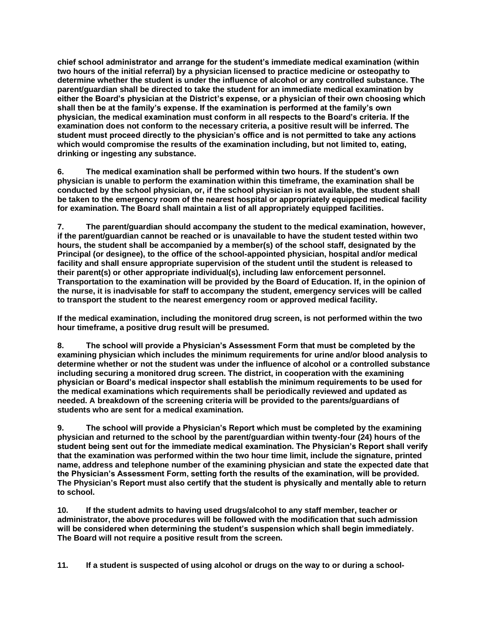**chief school administrator and arrange for the student's immediate medical examination (within two hours of the initial referral) by a physician licensed to practice medicine or osteopathy to determine whether the student is under the influence of alcohol or any controlled substance. The parent/guardian shall be directed to take the student for an immediate medical examination by either the Board's physician at the District's expense, or a physician of their own choosing which shall then be at the family's expense. If the examination is performed at the family's own physician, the medical examination must conform in all respects to the Board's criteria. If the examination does not conform to the necessary criteria, a positive result will be inferred. The student must proceed directly to the physician's office and is not permitted to take any actions which would compromise the results of the examination including, but not limited to, eating, drinking or ingesting any substance.** 

**6. The medical examination shall be performed within two hours. If the student's own physician is unable to perform the examination within this timeframe, the examination shall be conducted by the school physician, or, if the school physician is not available, the student shall be taken to the emergency room of the nearest hospital or appropriately equipped medical facility for examination. The Board shall maintain a list of all appropriately equipped facilities.** 

**7. The parent/guardian should accompany the student to the medical examination, however, if the parent/guardian cannot be reached or is unavailable to have the student tested within two hours, the student shall be accompanied by a member(s) of the school staff, designated by the Principal (or designee), to the office of the school-appointed physician, hospital and/or medical facility and shall ensure appropriate supervision of the student until the student is released to their parent(s) or other appropriate individual(s), including law enforcement personnel. Transportation to the examination will be provided by the Board of Education. If, in the opinion of the nurse, it is inadvisable for staff to accompany the student, emergency services will be called to transport the student to the nearest emergency room or approved medical facility.** 

**If the medical examination, including the monitored drug screen, is not performed within the two hour timeframe, a positive drug result will be presumed.** 

**8. The school will provide a Physician's Assessment Form that must be completed by the examining physician which includes the minimum requirements for urine and/or blood analysis to determine whether or not the student was under the influence of alcohol or a controlled substance including securing a monitored drug screen. The district, in cooperation with the examining physician or Board's medical inspector shall establish the minimum requirements to be used for the medical examinations which requirements shall be periodically reviewed and updated as needed. A breakdown of the screening criteria will be provided to the parents/guardians of students who are sent for a medical examination.** 

**9. The school will provide a Physician's Report which must be completed by the examining physician and returned to the school by the parent/guardian within twenty-four (24) hours of the student being sent out for the immediate medical examination. The Physician's Report shall verify that the examination was performed within the two hour time limit, include the signature, printed name, address and telephone number of the examining physician and state the expected date that the Physician's Assessment Form, setting forth the results of the examination, will be provided. The Physician's Report must also certify that the student is physically and mentally able to return to school.** 

**10. If the student admits to having used drugs/alcohol to any staff member, teacher or administrator, the above procedures will be followed with the modification that such admission will be considered when determining the student's suspension which shall begin immediately. The Board will not require a positive result from the screen.** 

**11. If a student is suspected of using alcohol or drugs on the way to or during a school-**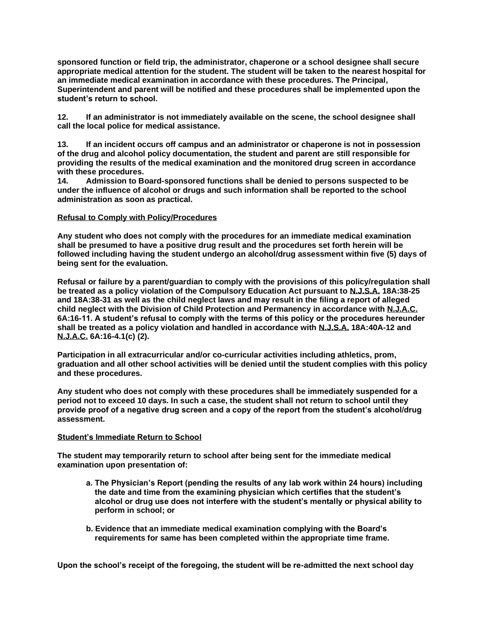**sponsored function or field trip, the administrator, chaperone or a school designee shall secure appropriate medical attention for the student. The student will be taken to the nearest hospital for an immediate medical examination in accordance with these procedures. The Principal, Superintendent and parent will be notified and these procedures shall be implemented upon the student's return to school.** 

**12. If an administrator is not immediately available on the scene, the school designee shall call the local police for medical assistance.** 

**13. If an incident occurs off campus and an administrator or chaperone is not in possession of the drug and alcohol policy documentation, the student and parent are still responsible for providing the results of the medical examination and the monitored drug screen in accordance with these procedures.** 

**14. Admission to Board-sponsored functions shall be denied to persons suspected to be under the influence of alcohol or drugs and such information shall be reported to the school administration as soon as practical.**

### **Refusal to Comply with Policy/Procedures**

**Any student who does not comply with the procedures for an immediate medical examination shall be presumed to have a positive drug result and the procedures set forth herein will be followed including having the student undergo an alcohol/drug assessment within five (5) days of being sent for the evaluation.**

**Refusal or failure by a parent/guardian to comply with the provisions of this policy/regulation shall be treated as a policy violation of the Compulsory Education Act pursuant to N.J.S.A. 18A:38-25 and 18A:38-31 as well as the child neglect laws and may result in the filing a report of alleged child neglect with the Division of Child Protection and Permanency in accordance with N.J.A.C. 6A:16-11. A student's refusal to comply with the terms of this policy or the procedures hereunder shall be treated as a policy violation and handled in accordance with N.J.S.A. 18A:40A-12 and N.J.A.C. 6A:16-4.1(c) (2).** 

**Participation in all extracurricular and/or co-curricular activities including athletics, prom, graduation and all other school activities will be denied until the student complies with this policy and these procedures.** 

**Any student who does not comply with these procedures shall be immediately suspended for a period not to exceed 10 days. In such a case, the student shall not return to school until they provide proof of a negative drug screen and a copy of the report from the student's alcohol/drug assessment.** 

### **Student's Immediate Return to School**

**The student may temporarily return to school after being sent for the immediate medical examination upon presentation of:**

- **a. The Physician's Report (pending the results of any lab work within 24 hours) including the date and time from the examining physician which certifies that the student's alcohol or drug use does not interfere with the student's mentally or physical ability to perform in school; or**
- **b. Evidence that an immediate medical examination complying with the Board's requirements for same has been completed within the appropriate time frame.**

**Upon the school's receipt of the foregoing, the student will be re-admitted the next school day**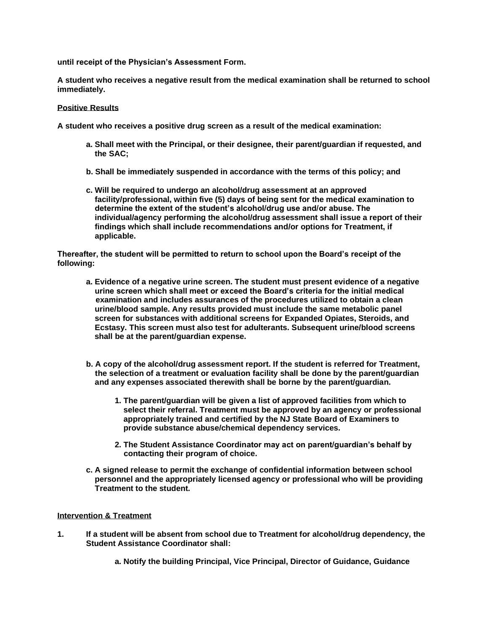**until receipt of the Physician's Assessment Form.**

**A student who receives a negative result from the medical examination shall be returned to school immediately.** 

### **Positive Results**

**A student who receives a positive drug screen as a result of the medical examination:**

- **a. Shall meet with the Principal, or their designee, their parent/guardian if requested, and the SAC;**
- **b. Shall be immediately suspended in accordance with the terms of this policy; and**
- **c. Will be required to undergo an alcohol/drug assessment at an approved facility/professional, within five (5) days of being sent for the medical examination to determine the extent of the student's alcohol/drug use and/or abuse. The individual/agency performing the alcohol/drug assessment shall issue a report of their findings which shall include recommendations and/or options for Treatment, if applicable.**

**Thereafter, the student will be permitted to return to school upon the Board's receipt of the following:**

- **a. Evidence of a negative urine screen. The student must present evidence of a negative urine screen which shall meet or exceed the Board's criteria for the initial medical examination and includes assurances of the procedures utilized to obtain a clean urine/blood sample. Any results provided must include the same metabolic panel screen for substances with additional screens for Expanded Opiates, Steroids, and Ecstasy. This screen must also test for adulterants. Subsequent urine/blood screens shall be at the parent/guardian expense.**
- **b. A copy of the alcohol/drug assessment report. If the student is referred for Treatment, the selection of a treatment or evaluation facility shall be done by the parent/guardian and any expenses associated therewith shall be borne by the parent/guardian.** 
	- **1. The parent/guardian will be given a list of approved facilities from which to select their referral. Treatment must be approved by an agency or professional appropriately trained and certified by the NJ State Board of Examiners to provide substance abuse/chemical dependency services.**
	- **2. The Student Assistance Coordinator may act on parent/guardian's behalf by contacting their program of choice.**
- **c. A signed release to permit the exchange of confidential information between school personnel and the appropriately licensed agency or professional who will be providing Treatment to the student.**

### **Intervention & Treatment**

- **1. If a student will be absent from school due to Treatment for alcohol/drug dependency, the Student Assistance Coordinator shall:** 
	- **a. Notify the building Principal, Vice Principal, Director of Guidance, Guidance**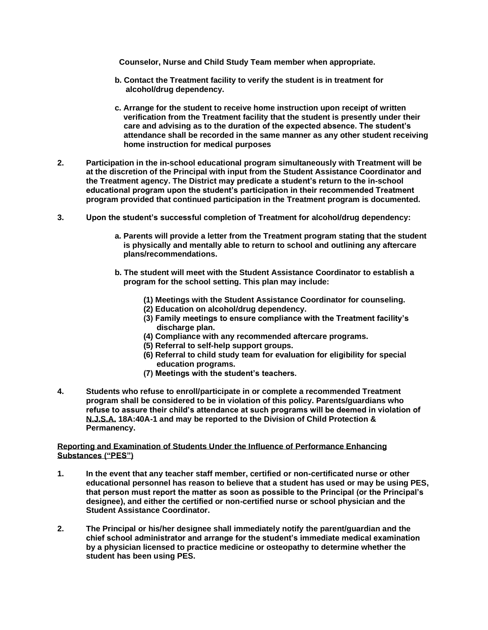**Counselor, Nurse and Child Study Team member when appropriate.** 

- **b. Contact the Treatment facility to verify the student is in treatment for alcohol/drug dependency.**
- **c. Arrange for the student to receive home instruction upon receipt of written verification from the Treatment facility that the student is presently under their care and advising as to the duration of the expected absence. The student's attendance shall be recorded in the same manner as any other student receiving home instruction for medical purposes**
- **2. Participation in the in-school educational program simultaneously with Treatment will be at the discretion of the Principal with input from the Student Assistance Coordinator and the Treatment agency. The District may predicate a student's return to the in-school educational program upon the student's participation in their recommended Treatment program provided that continued participation in the Treatment program is documented.**
- **3. Upon the student's successful completion of Treatment for alcohol/drug dependency:**
	- **a. Parents will provide a letter from the Treatment program stating that the student is physically and mentally able to return to school and outlining any aftercare plans/recommendations.**
	- **b. The student will meet with the Student Assistance Coordinator to establish a program for the school setting. This plan may include:** 
		- **(1) Meetings with the Student Assistance Coordinator for counseling.**
		- **(2) Education on alcohol/drug dependency.**
		- **(3) Family meetings to ensure compliance with the Treatment facility's discharge plan.**
		- **(4) Compliance with any recommended aftercare programs.**
		- **(5) Referral to self-help support groups.**
		- **(6) Referral to child study team for evaluation for eligibility for special education programs.**
		- **(7) Meetings with the student's teachers.**
- **4. Students who refuse to enroll/participate in or complete a recommended Treatment program shall be considered to be in violation of this policy. Parents/guardians who refuse to assure their child's attendance at such programs will be deemed in violation of N.J.S.A. 18A:40A-1 and may be reported to the Division of Child Protection & Permanency.**

### **Reporting and Examination of Students Under the Influence of Performance Enhancing Substances ("PES")**

- **1. In the event that any teacher staff member, certified or non-certificated nurse or other educational personnel has reason to believe that a student has used or may be using PES, that person must report the matter as soon as possible to the Principal (or the Principal's designee), and either the certified or non-certified nurse or school physician and the Student Assistance Coordinator.**
- **2. The Principal or his/her designee shall immediately notify the parent/guardian and the chief school administrator and arrange for the student's immediate medical examination by a physician licensed to practice medicine or osteopathy to determine whether the student has been using PES.**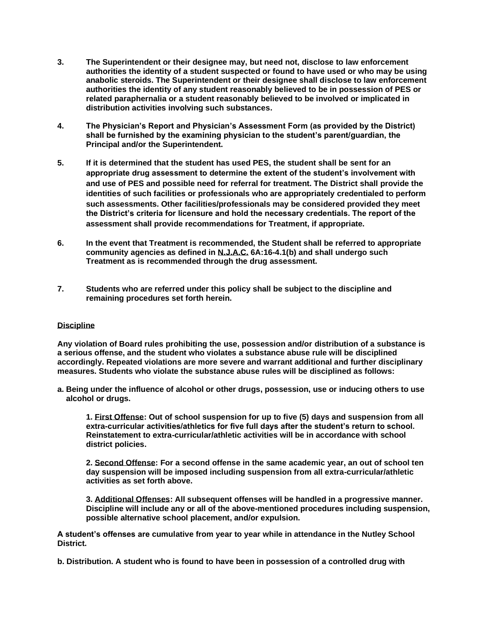- **3. The Superintendent or their designee may, but need not, disclose to law enforcement authorities the identity of a student suspected or found to have used or who may be using anabolic steroids. The Superintendent or their designee shall disclose to law enforcement authorities the identity of any student reasonably believed to be in possession of PES or related paraphernalia or a student reasonably believed to be involved or implicated in distribution activities involving such substances.**
- **4. The Physician's Report and Physician's Assessment Form (as provided by the District) shall be furnished by the examining physician to the student's parent/guardian, the Principal and/or the Superintendent.**
- **5. If it is determined that the student has used PES, the student shall be sent for an appropriate drug assessment to determine the extent of the student's involvement with and use of PES and possible need for referral for treatment. The District shall provide the identities of such facilities or professionals who are appropriately credentialed to perform such assessments. Other facilities/professionals may be considered provided they meet the District's criteria for licensure and hold the necessary credentials. The report of the assessment shall provide recommendations for Treatment, if appropriate.**
- **6. In the event that Treatment is recommended, the Student shall be referred to appropriate community agencies as defined in N.J.A.C. 6A:16-4.1(b) and shall undergo such Treatment as is recommended through the drug assessment.**
- **7. Students who are referred under this policy shall be subject to the discipline and remaining procedures set forth herein.**

### **Discipline**

**Any violation of Board rules prohibiting the use, possession and/or distribution of a substance is a serious offense, and the student who violates a substance abuse rule will be disciplined accordingly. Repeated violations are more severe and warrant additional and further disciplinary measures. Students who violate the substance abuse rules will be disciplined as follows:** 

**a. Being under the influence of alcohol or other drugs, possession, use or inducing others to use alcohol or drugs.** 

**1. First Offense: Out of school suspension for up to five (5) days and suspension from all extra-curricular activities/athletics for five full days after the student's return to school. Reinstatement to extra-curricular/athletic activities will be in accordance with school district policies.** 

**2. Second Offense: For a second offense in the same academic year, an out of school ten day suspension will be imposed including suspension from all extra-curricular/athletic activities as set forth above.** 

**3. Additional Offenses: All subsequent offenses will be handled in a progressive manner. Discipline will include any or all of the above-mentioned procedures including suspension, possible alternative school placement, and/or expulsion.** 

**A student's offenses are cumulative from year to year while in attendance in the Nutley School District.**

**b. Distribution. A student who is found to have been in possession of a controlled drug with**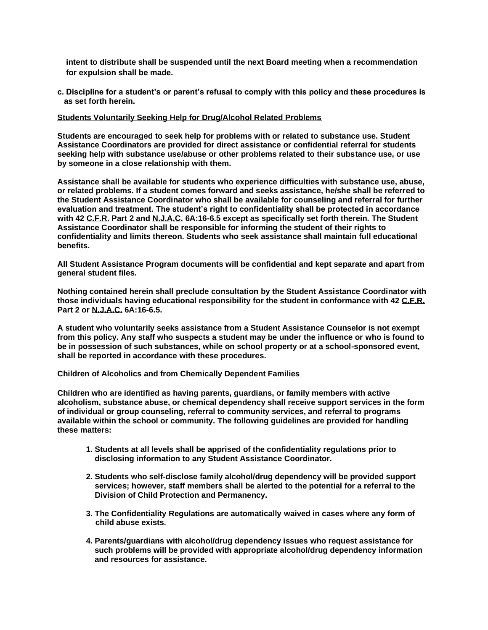**intent to distribute shall be suspended until the next Board meeting when a recommendation for expulsion shall be made.**

**c. Discipline for a student's or parent's refusal to comply with this policy and these procedures is as set forth herein.**

### **Students Voluntarily Seeking Help for Drug/Alcohol Related Problems**

**Students are encouraged to seek help for problems with or related to substance use. Student Assistance Coordinators are provided for direct assistance or confidential referral for students seeking help with substance use/abuse or other problems related to their substance use, or use by someone in a close relationship with them.**

**Assistance shall be available for students who experience difficulties with substance use, abuse, or related problems. If a student comes forward and seeks assistance, he/she shall be referred to the Student Assistance Coordinator who shall be available for counseling and referral for further evaluation and treatment. The student's right to confidentiality shall be protected in accordance with 42 C.F.R. Part 2 and N.J.A.C. 6A:16-6.5 except as specifically set forth therein. The Student Assistance Coordinator shall be responsible for informing the student of their rights to confidentiality and limits thereon. Students who seek assistance shall maintain full educational benefits.**

**All Student Assistance Program documents will be confidential and kept separate and apart from general student files.**

**Nothing contained herein shall preclude consultation by the Student Assistance Coordinator with those individuals having educational responsibility for the student in conformance with 42 C.F.R. Part 2 or N.J.A.C. 6A:16-6.5.**

**A student who voluntarily seeks assistance from a Student Assistance Counselor is not exempt from this policy. Any staff who suspects a student may be under the influence or who is found to be in possession of such substances, while on school property or at a school-sponsored event, shall be reported in accordance with these procedures.**

**Children of Alcoholics and from Chemically Dependent Families** 

**Children who are identified as having parents, guardians, or family members with active alcoholism, substance abuse, or chemical dependency shall receive support services in the form of individual or group counseling, referral to community services, and referral to programs available within the school or community. The following guidelines are provided for handling these matters:**

- **1. Students at all levels shall be apprised of the confidentiality regulations prior to disclosing information to any Student Assistance Coordinator.**
- **2. Students who self-disclose family alcohol/drug dependency will be provided support services; however, staff members shall be alerted to the potential for a referral to the Division of Child Protection and Permanency.**
- **3. The Confidentiality Regulations are automatically waived in cases where any form of child abuse exists.**
- **4. Parents/guardians with alcohol/drug dependency issues who request assistance for such problems will be provided with appropriate alcohol/drug dependency information and resources for assistance.**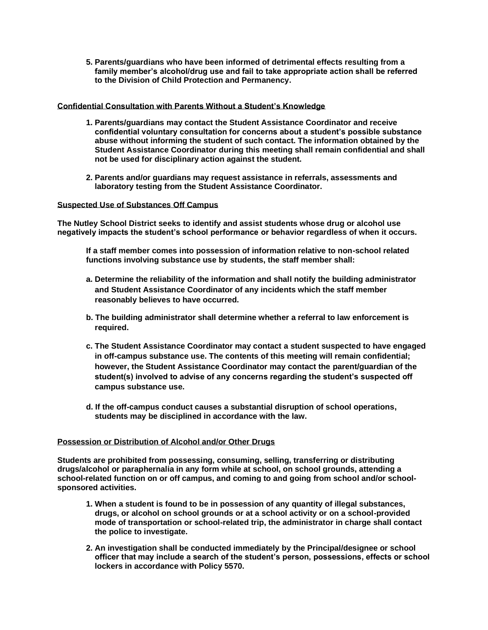**5. Parents/guardians who have been informed of detrimental effects resulting from a family member's alcohol/drug use and fail to take appropriate action shall be referred to the Division of Child Protection and Permanency.** 

### **Confidential Consultation with Parents Without a Student's Knowledge**

- **1. Parents/guardians may contact the Student Assistance Coordinator and receive confidential voluntary consultation for concerns about a student's possible substance abuse without informing the student of such contact. The information obtained by the Student Assistance Coordinator during this meeting shall remain confidential and shall not be used for disciplinary action against the student.**
- **2. Parents and/or guardians may request assistance in referrals, assessments and laboratory testing from the Student Assistance Coordinator.**

### **Suspected Use of Substances Off Campus**

**The Nutley School District seeks to identify and assist students whose drug or alcohol use negatively impacts the student's school performance or behavior regardless of when it occurs.** 

**If a staff member comes into possession of information relative to non-school related functions involving substance use by students, the staff member shall:** 

- **a. Determine the reliability of the information and shall notify the building administrator and Student Assistance Coordinator of any incidents which the staff member reasonably believes to have occurred.**
- **b. The building administrator shall determine whether a referral to law enforcement is required.**
- **c. The Student Assistance Coordinator may contact a student suspected to have engaged in off-campus substance use. The contents of this meeting will remain confidential; however, the Student Assistance Coordinator may contact the parent/guardian of the student(s) involved to advise of any concerns regarding the student's suspected off campus substance use.**
- **d. If the off-campus conduct causes a substantial disruption of school operations, students may be disciplined in accordance with the law.**

### **Possession or Distribution of Alcohol and/or Other Drugs**

**Students are prohibited from possessing, consuming, selling, transferring or distributing drugs/alcohol or paraphernalia in any form while at school, on school grounds, attending a school-related function on or off campus, and coming to and going from school and/or schoolsponsored activities.** 

- **1. When a student is found to be in possession of any quantity of illegal substances, drugs, or alcohol on school grounds or at a school activity or on a school-provided mode of transportation or school-related trip, the administrator in charge shall contact the police to investigate.**
- **2. An investigation shall be conducted immediately by the Principal/designee or school officer that may include a search of the student's person, possessions, effects or school lockers in accordance with Policy 5570.**